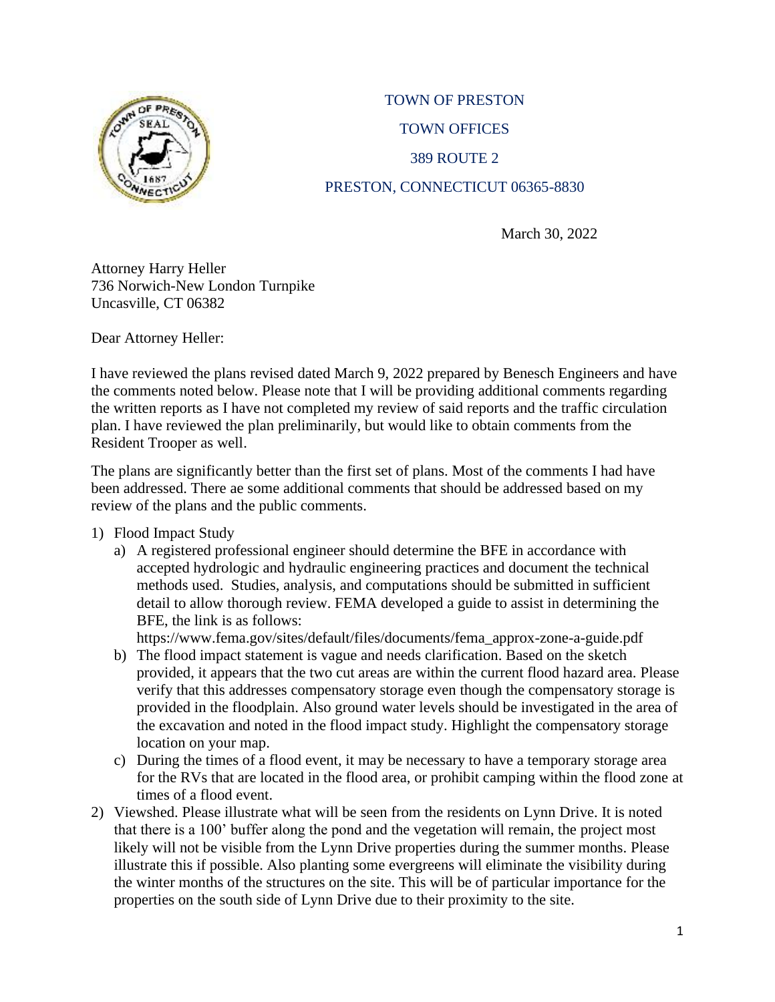

## TOWN OF PRESTON TOWN OFFICES 389 ROUTE 2 PRESTON, CONNECTICUT 06365-8830

March 30, 2022

Attorney Harry Heller 736 Norwich-New London Turnpike Uncasville, CT 06382

Dear Attorney Heller:

I have reviewed the plans revised dated March 9, 2022 prepared by Benesch Engineers and have the comments noted below. Please note that I will be providing additional comments regarding the written reports as I have not completed my review of said reports and the traffic circulation plan. I have reviewed the plan preliminarily, but would like to obtain comments from the Resident Trooper as well.

The plans are significantly better than the first set of plans. Most of the comments I had have been addressed. There ae some additional comments that should be addressed based on my review of the plans and the public comments.

## 1) Flood Impact Study

a) A registered professional engineer should determine the BFE in accordance with accepted hydrologic and hydraulic engineering practices and document the technical methods used. Studies, analysis, and computations should be submitted in sufficient detail to allow thorough review. FEMA developed a guide to assist in determining the BFE, the link is as follows:

https://www.fema.gov/sites/default/files/documents/fema\_approx-zone-a-guide.pdf

- b) The flood impact statement is vague and needs clarification. Based on the sketch provided, it appears that the two cut areas are within the current flood hazard area. Please verify that this addresses compensatory storage even though the compensatory storage is provided in the floodplain. Also ground water levels should be investigated in the area of the excavation and noted in the flood impact study. Highlight the compensatory storage location on your map.
- c) During the times of a flood event, it may be necessary to have a temporary storage area for the RVs that are located in the flood area, or prohibit camping within the flood zone at times of a flood event.
- 2) Viewshed. Please illustrate what will be seen from the residents on Lynn Drive. It is noted that there is a 100' buffer along the pond and the vegetation will remain, the project most likely will not be visible from the Lynn Drive properties during the summer months. Please illustrate this if possible. Also planting some evergreens will eliminate the visibility during the winter months of the structures on the site. This will be of particular importance for the properties on the south side of Lynn Drive due to their proximity to the site.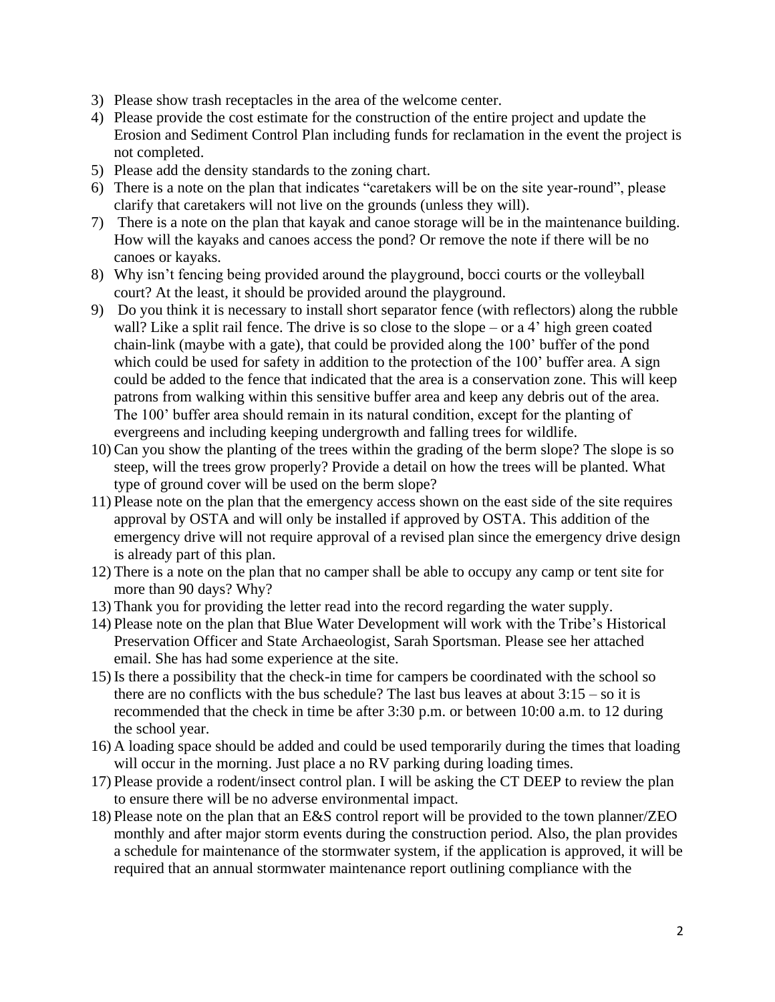- 3) Please show trash receptacles in the area of the welcome center.
- 4) Please provide the cost estimate for the construction of the entire project and update the Erosion and Sediment Control Plan including funds for reclamation in the event the project is not completed.
- 5) Please add the density standards to the zoning chart.
- 6) There is a note on the plan that indicates "caretakers will be on the site year-round", please clarify that caretakers will not live on the grounds (unless they will).
- 7) There is a note on the plan that kayak and canoe storage will be in the maintenance building. How will the kayaks and canoes access the pond? Or remove the note if there will be no canoes or kayaks.
- 8) Why isn't fencing being provided around the playground, bocci courts or the volleyball court? At the least, it should be provided around the playground.
- 9) Do you think it is necessary to install short separator fence (with reflectors) along the rubble wall? Like a split rail fence. The drive is so close to the slope – or a 4' high green coated chain-link (maybe with a gate), that could be provided along the 100' buffer of the pond which could be used for safety in addition to the protection of the 100' buffer area. A sign could be added to the fence that indicated that the area is a conservation zone. This will keep patrons from walking within this sensitive buffer area and keep any debris out of the area. The 100' buffer area should remain in its natural condition, except for the planting of evergreens and including keeping undergrowth and falling trees for wildlife.
- 10) Can you show the planting of the trees within the grading of the berm slope? The slope is so steep, will the trees grow properly? Provide a detail on how the trees will be planted. What type of ground cover will be used on the berm slope?
- 11) Please note on the plan that the emergency access shown on the east side of the site requires approval by OSTA and will only be installed if approved by OSTA. This addition of the emergency drive will not require approval of a revised plan since the emergency drive design is already part of this plan.
- 12) There is a note on the plan that no camper shall be able to occupy any camp or tent site for more than 90 days? Why?
- 13) Thank you for providing the letter read into the record regarding the water supply.
- 14) Please note on the plan that Blue Water Development will work with the Tribe's Historical Preservation Officer and State Archaeologist, Sarah Sportsman. Please see her attached email. She has had some experience at the site.
- 15) Is there a possibility that the check-in time for campers be coordinated with the school so there are no conflicts with the bus schedule? The last bus leaves at about  $3:15 -$  so it is recommended that the check in time be after 3:30 p.m. or between 10:00 a.m. to 12 during the school year.
- 16) A loading space should be added and could be used temporarily during the times that loading will occur in the morning. Just place a no RV parking during loading times.
- 17) Please provide a rodent/insect control plan. I will be asking the CT DEEP to review the plan to ensure there will be no adverse environmental impact.
- 18) Please note on the plan that an E&S control report will be provided to the town planner/ZEO monthly and after major storm events during the construction period. Also, the plan provides a schedule for maintenance of the stormwater system, if the application is approved, it will be required that an annual stormwater maintenance report outlining compliance with the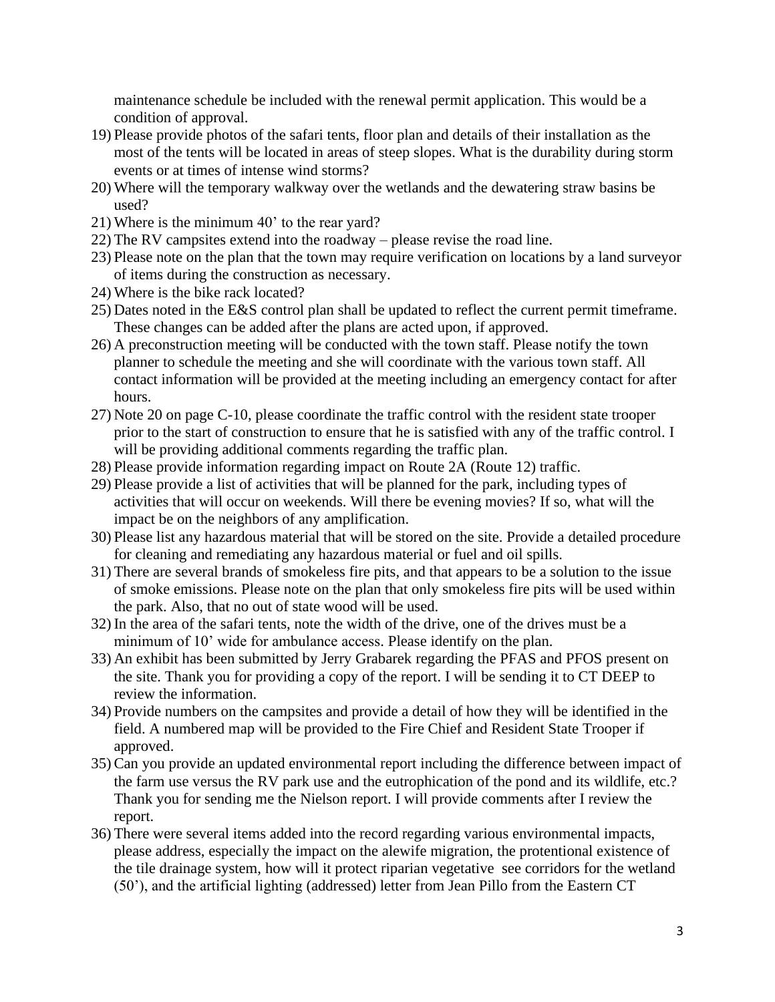maintenance schedule be included with the renewal permit application. This would be a condition of approval.

- 19) Please provide photos of the safari tents, floor plan and details of their installation as the most of the tents will be located in areas of steep slopes. What is the durability during storm events or at times of intense wind storms?
- 20) Where will the temporary walkway over the wetlands and the dewatering straw basins be used?
- 21) Where is the minimum 40' to the rear yard?
- 22) The RV campsites extend into the roadway please revise the road line.
- 23) Please note on the plan that the town may require verification on locations by a land surveyor of items during the construction as necessary.
- 24) Where is the bike rack located?
- 25) Dates noted in the E&S control plan shall be updated to reflect the current permit timeframe. These changes can be added after the plans are acted upon, if approved.
- 26) A preconstruction meeting will be conducted with the town staff. Please notify the town planner to schedule the meeting and she will coordinate with the various town staff. All contact information will be provided at the meeting including an emergency contact for after hours.
- 27) Note 20 on page C-10, please coordinate the traffic control with the resident state trooper prior to the start of construction to ensure that he is satisfied with any of the traffic control. I will be providing additional comments regarding the traffic plan.
- 28) Please provide information regarding impact on Route 2A (Route 12) traffic.
- 29) Please provide a list of activities that will be planned for the park, including types of activities that will occur on weekends. Will there be evening movies? If so, what will the impact be on the neighbors of any amplification.
- 30) Please list any hazardous material that will be stored on the site. Provide a detailed procedure for cleaning and remediating any hazardous material or fuel and oil spills.
- 31) There are several brands of smokeless fire pits, and that appears to be a solution to the issue of smoke emissions. Please note on the plan that only smokeless fire pits will be used within the park. Also, that no out of state wood will be used.
- 32) In the area of the safari tents, note the width of the drive, one of the drives must be a minimum of 10' wide for ambulance access. Please identify on the plan.
- 33) An exhibit has been submitted by Jerry Grabarek regarding the PFAS and PFOS present on the site. Thank you for providing a copy of the report. I will be sending it to CT DEEP to review the information.
- 34) Provide numbers on the campsites and provide a detail of how they will be identified in the field. A numbered map will be provided to the Fire Chief and Resident State Trooper if approved.
- 35) Can you provide an updated environmental report including the difference between impact of the farm use versus the RV park use and the eutrophication of the pond and its wildlife, etc.? Thank you for sending me the Nielson report. I will provide comments after I review the report.
- 36) There were several items added into the record regarding various environmental impacts, please address, especially the impact on the alewife migration, the protentional existence of the tile drainage system, how will it protect riparian vegetative see corridors for the wetland (50'), and the artificial lighting (addressed) letter from Jean Pillo from the Eastern CT